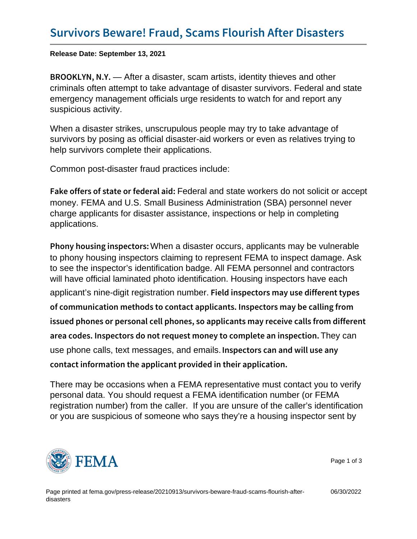Release Date: September 13, 2021

B R O O K L Y  $N$ , After a disaster, scam artists, identity thieves and other criminals often attempt to take advantage of disaster survivors. Federal and state emergency management officials urge residents to watch for and report any suspicious activity.

When a disaster strikes, unscrupulous people may try to take advantage of survivors by posing as official disaster-aid workers or even as relatives trying to help survivors complete their applications.

Common post-disaster fraud practices include:

Fake offers of state Foedefae almet istate aviodkers do not solicitor accept money. FEMA and U.S. Small Business Administration (SBA) personnel never charge applicants for disaster assistance, inspections or help in completing applications.

Phony housing in Wame a constructure is applicants may be vulnerable to phony housing inspectors claiming to represent FEMA to inspect damage. Ask to see the inspector's identification badge. All FEMA personnel and contractors will have official laminated photo identification. Housing inspectors have each applicant's nine-digit registration number. Field inspectors may use differer of communication methods to contact applicants. Inspector issued phones or personal cell phones, so applicants may area codes. Inspectors do not request moneTyhey cancomplete a use phone calls, text messages, and emails. Inspectors can and will use an contact information the applicant provided in their applicat

There may be occasions when a FEMA representative must contact you to verify personal data. You should request a FEMA identification number (or FEMA registration number) from the caller. If you are unsure of the caller's identification or you are suspicious of someone who says they're a housing inspector sent by



Page 1 of 3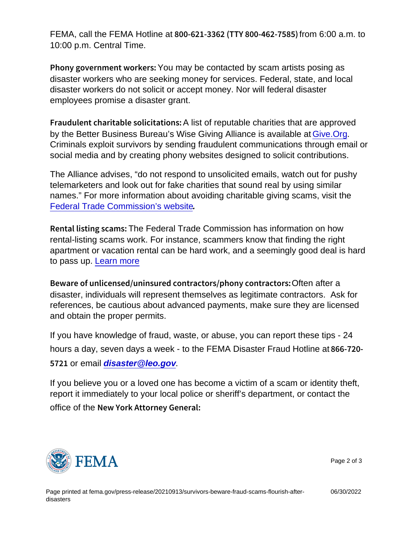FEMA, call the FEMA Hotline at  $800 - 621 - 3362$  (TTY  $80006:0062$ m7to  $85)$ ) 10:00 p.m. Central Time.

Phony government own to a prosent acted by scam artists posing as disaster workers who are seeking money for services. Federal, state, and local disaster workers do not solicit or accept money. Nor will federal disaster employees promise a disaster grant.

Fraudulent charitable  $A$  single to tharm it is charities that are approved by the Better Business Bureau's Wise Giving Alliance is available at [Give.Org.](https://www.give.org/) Criminals exploit survivors by sending fraudulent communications through email or social media and by creating phony websites designed to solicit contributions.

The Alliance advises, "do not respond to unsolicited emails, watch out for pushy telemarketers and look out for fake charities that sound real by using similar names." For more information about avoiding charitable giving scams, visit the [Federal Trade Commission's website](https://www.fema.govwww.consumer.ftc.gov/features/scam-alerts.).

Rental listin ghes Feederal Brade Commission has information on how rental-listing scams work. For instance, scammers know that finding the right apartment or vacation rental can be hard work, and a seemingly good deal is hard to pass up. [Learn more](https://www.fema.gov www.consumer.ftc.gov/articles/0079-rental-listing-scams.)

Beware of unlicensed/uninsured contra Often aftep hony contract disaster, individuals will represent themselves as legitimate contractors. Ask for references, be cautious about advanced payments, make sure they are licensed and obtain the proper permits.

If you have knowledge of fraud, waste, or abuse, you can report these tips - 24 hours a day, seven days a week - to the FEMA Disaster Fraud Hotline at 866-720-

57 2of email [disaster@leo.gov](mailto:disaster@leo.gov).

If you believe you or a loved one has become a victim of a scam or identity theft, report it immediately to your local police or sheriff's department, or contact the

office of the New York Attorney General:



Page 2 of 3